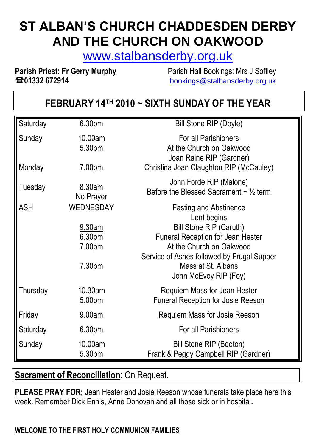# **ST ALBAN'S CHURCH CHADDESDEN DERBY AND THE CHURCH ON OAKWOOD**

[www.stalbansderby.org.uk](http://www.stalbansderby.org.uk/)

**Parish Priest: Fr Gerry Murphy** Parish Hall Bookings: Mrs J Softley

**01332 672914** [bookings@stalbansderby.org.uk](mailto:bookings@stalbansderby.org.uk)

## **FEBRUARY 14TH 2010 ~ SIXTH SUNDAY OF THE YEAR**

| Saturday         | 6.30pm                      | <b>Bill Stone RIP (Doyle)</b>                                                                                                  |
|------------------|-----------------------------|--------------------------------------------------------------------------------------------------------------------------------|
| Sunday<br>Monday | 10.00am<br>5.30pm<br>7.00pm | <b>For all Parishioners</b><br>At the Church on Oakwood<br>Joan Raine RIP (Gardner)<br>Christina Joan Claughton RIP (McCauley) |
|                  |                             |                                                                                                                                |
| Tuesday          | 8.30am<br>No Prayer         | John Forde RIP (Malone)<br>Before the Blessed Sacrament $\sim \frac{1}{2}$ term                                                |
| <b>ASH</b>       | <b>WEDNESDAY</b>            | <b>Fasting and Abstinence</b><br>Lent begins                                                                                   |
|                  | 9.30am                      | <b>Bill Stone RIP (Caruth)</b>                                                                                                 |
|                  | 6.30pm                      | <b>Funeral Reception for Jean Hester</b>                                                                                       |
|                  | 7.00pm                      | At the Church on Oakwood                                                                                                       |
|                  | 7.30pm                      | Service of Ashes followed by Frugal Supper<br>Mass at St. Albans<br>John McEvoy RIP (Foy)                                      |
| Thursday         | 10.30am<br>5.00pm           | Requiem Mass for Jean Hester<br><b>Funeral Reception for Josie Reeson</b>                                                      |
| Friday           | 9.00am                      | Requiem Mass for Josie Reeson                                                                                                  |
| Saturday         | 6.30pm                      | For all Parishioners                                                                                                           |
| Sunday           | 10.00am<br>5.30pm           | Bill Stone RIP (Booton)<br>Frank & Peggy Campbell RIP (Gardner)                                                                |

## **Sacrament of Reconciliation: On Request.**

**PLEASE PRAY FOR;** Jean Hester and Josie Reeson whose funerals take place here this week. Remember Dick Ennis, Anne Donovan and all those sick or in hospital**.**

## **WELCOME TO THE FIRST HOLY COMMUNION FAMILIES**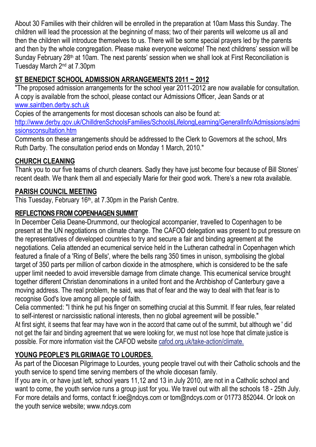About 30 Families with their children will be enrolled in the preparation at 10am Mass this Sunday. The children will lead the procession at the beginning of mass; two of their parents will welcome us all and then the children will introduce themselves to us. There will be some special prayers led by the parents and then by the whole congregation. Please make everyone welcome! The next childrens' session will be Sunday February 28<sup>th</sup> at 10am. The next parents' session when we shall look at First Reconciliation is Tuesday March 2nd at 7.30pm

## **ST BENEDICT SCHOOL ADMISSION ARRANGEMENTS 2011 ~ 2012**

"The proposed admission arrangements for the school year 2011-2012 are now available for consultation. A copy is available from the school, please contact our Admissions Officer, Jean Sands or at [www.saintben.derby.sch.uk](http://www.saintben.derby.sch.uk/)

Copies of the arrangements for most diocesan schools can also be found at: [http://www.derby.qov.uk/ChilldrenSchoolsFamilies/SchoolsLifelongLearning/GeneralInfo/Admissions/admi](http://www.derby.qov.uk/ChilldrenSchoolsFamilies/SchoolsLifelongLearning/GeneralInfo/Admissions/admissionsconsultation.htm) [ssionsconsultation.htm](http://www.derby.qov.uk/ChilldrenSchoolsFamilies/SchoolsLifelongLearning/GeneralInfo/Admissions/admissionsconsultation.htm)

Comments on these arrangements should be addressed to the Clerk to Governors at the school, Mrs Ruth Darby. The consultation period ends on Monday 1 March, 2010."

#### **CHURCH CLEANING**

Thank you to our five teams of church cleaners. Sadly they have just become four because of Bill Stones' recent death. We thank them all and especially Marie for their good work. There's a new rota available.

#### **PARISH COUNCIL MEETING**

This Tuesday, February 16<sup>th</sup>, at 7.30pm in the Parish Centre.

#### **REFLECTIONS FROM COPENHAGEN SUMMIT**

In December Celia Deane-Drummond, our theological accompanier, travelled to Copenhagen to be present at the UN negotiations on climate change. The CAFOD delegation was present to put pressure on the representatives of developed countries to try and secure a fair and binding agreement at the negotiations. Celia attended an ecumenical service held in the Lutheran cathedral in Copenhagen which featured a finale of a 'Ring of Bells', where the bells rang 350 times in unison, symbolising the global target of 350 parts per million of carbon dioxide in the atmosphere, which is considered to be the safe upper limit needed to avoid irreversible damage from climate change. This ecumenical service brought together different Christian denominations in a united front and the Archbishop of Canterbury gave a moving address. The real problem, he said, was that of fear and the way to deal with that fear is to recognise God's love among all people of faith.

Celia commented: "I think he put his finger on something crucial at this Summit. If fear rules, fear related to self-interest or narcissistic national interests, then no global agreement will be possible." At first sight, it seems that fear may have won in the accord that came out of the summit, but although we ' did not get the fair and binding agreement that we were looking for, we must not lose hope that climate justice is possible. For more information visit the CAFOD website cafod.org.uk/take-action/climate.

## **YOUNG PEOPLE'S PILGRIMAGE TO LOURDES.**

As part of the Diocesan Pilgrimage to Lourdes, young people travel out with their Catholic schools and the youth service to spend time serving members of the whole diocesan family.

If you are in, or have just left, school years 11,12 and 13 in July 2010, are not in a Catholic school and want to come, the youth service runs a group just for you. We travel out with all the schools 18 - 25th July. For more details and forms, contact fr.ioe@ndcys.com or tom@ndcys.com or 01773 852044. Or look on the youth service website; www.ndcys.com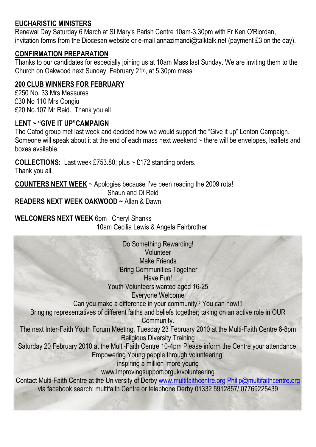#### **EUCHARISTIC MINISTERS**

Renewal Day Saturday 6 March at St Mary's Parish Centre 10am-3.30pm with Fr Ken O'Riordan, invitation forms from the Diocesan website or e-mail annazimandi@talktalk.net (payment £3 on the day).

#### **CONFIRMATION PREPARATION**

Thanks to our candidates for especially joining us at 10am Mass last Sunday. We are inviting them to the Church on Oakwood next Sunday, February 21st, at 5.30pm mass.

#### **200 CLUB WINNERS FOR FEBRUARY**

£250 No. 33 Mrs Measures £30 No 110 Mrs Congiu £20 No.107 Mr Reid. Thank you all

#### **LENT ~ "GIVE IT UP"CAMPAIGN**

The Cafod group met last week and decided how we would support the "Give it up" Lenton Campaign. Someone will speak about it at the end of each mass next weekend ~ there will be envelopes, leaflets and boxes available.

**COLLECTIONS:** Last week £753.80; plus ~ £172 standing orders. Thank you all.

**COUNTERS NEXT WEEK** ~ Apologies because I've been reading the 2009 rota!

Shaun and Di Reid

**READERS NEXT WEEK OAKWOOD ~** Allan & Dawn

**WELCOMERS NEXT WEEK** 6pm Cheryl Shanks 10am Cecilia Lewis & Angela Fairbrother

Do Something Rewarding! **Volunteer** Make Friends 'Bring Communities Together Have Fun! Youth Volunteers wanted aged 16-25 Everyone Welcome Can you make a difference in your community? You can now!!! Bringing representatives of different faiths and beliefs together; taking on an active role in OUR Community. The next Inter-Faith Youth Forum Meeting, Tuesday 23 February 2010 at the Multi-Faith Centre 6-8pm Religious Diversity Training Saturday 20 February 2010 at the Multi-Faith Centre 10-4pm Please inform the Centre your attendance. Empowering Young people through volunteering! inspiring a million 'more young www.lmprovingsupport.orguk/volunteering Contact Multi-Faith Centre at the University of Derby [www.multifaithcentre.org](http://www.multifaithcentre.org/) [Philip@multifaithcentre.org](mailto:Philip@multifaithcentre.org) via facebook search: multifaith Centre or telephone Derby 01332 5912857/ 07769225439